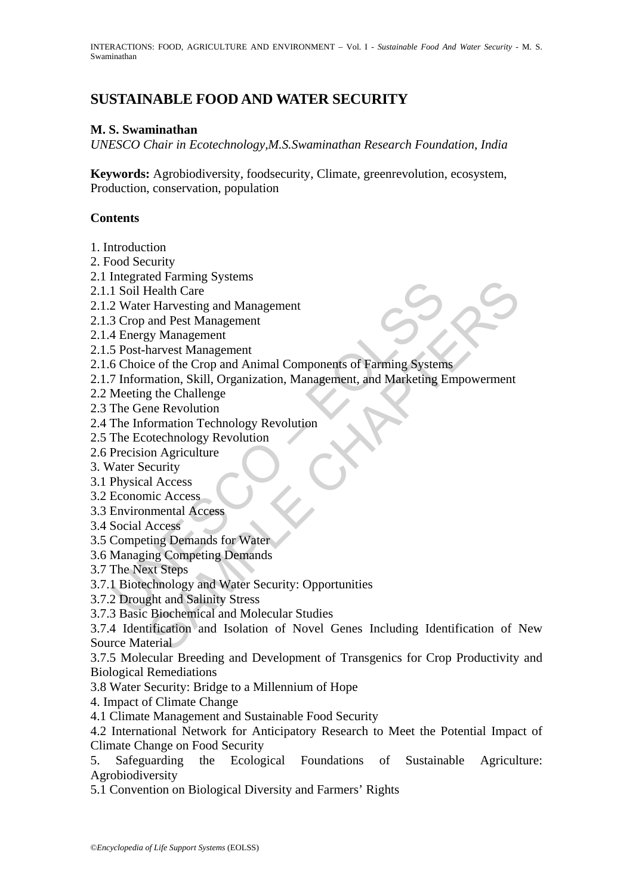INTERACTIONS: FOOD, AGRICULTURE AND ENVIRONMENT – Vol. I - *Sustainable Food And Water Security* - M. S. Swaminathan

# **SUSTAINABLE FOOD AND WATER SECURITY**

#### **M. S. Swaminathan**

*UNESCO Chair in Ecotechnology,M.S.Swaminathan Research Foundation, India* 

**Keywords:** Agrobiodiversity, foodsecurity, Climate, greenrevolution, ecosystem, Production, conservation, population

#### **Contents**

- 1. Introduction
- 2. Food Security
- 2.1 Integrated Farming Systems
- 2.1.1 Soil Health Care
- 2.1.2 Water Harvesting and Management
- 2.1.3 Crop and Pest Management
- 2.1.4 Energy Management
- 2.1.5 Post-harvest Management
- Incention Carming Bysonia<br>
1 Soil Health Care<br>
2 Water Harvesting and Management<br>
3 Crop and Pest Management<br>
4 Energy Management<br>
6 Choice of the Crop and Animal Components of Farming System<br>
7 Information, Skill, Organiz 2.1.6 Choice of the Crop and Animal Components of Farming Systems
- 2.1.7 Information, Skill, Organization, Management, and Marketing Empowerment
- 2.2 Meeting the Challenge
- 2.3 The Gene Revolution
- 2.4 The Information Technology Revolution
- 2.5 The Ecotechnology Revolution
- 2.6 Precision Agriculture
- 3. Water Security
- 3.1 Physical Access
- 3.2 Economic Access
- 3.3 Environmental Access
- 3.4 Social Access
- 3.5 Competing Demands for Water
- 3.6 Managing Competing Demands
- 3.7 The Next Steps
- 3.7.1 Biotechnology and Water Security: Opportunities
- 3.7.2 Drought and Salinity Stress
- 3.7.3 Basic Biochemical and Molecular Studies

Examing Systems<br>
Flack Care and Management<br>
Flack Management<br>
and Pest Management<br>
and Pest Management<br>
harvest Management<br>
harvest Management<br>
harvest Management<br>
mental, Organization, Management, and Marketing Empowermen 3.7.4 Identification and Isolation of Novel Genes Including Identification of New Source Material

3.7.5 Molecular Breeding and Development of Transgenics for Crop Productivity and Biological Remediations

3.8 Water Security: Bridge to a Millennium of Hope

- 4. Impact of Climate Change
- 4.1 Climate Management and Sustainable Food Security

4.2 International Network for Anticipatory Research to Meet the Potential Impact of Climate Change on Food Security

5. Safeguarding the Ecological Foundations of Sustainable Agriculture: Agrobiodiversity

5.1 Convention on Biological Diversity and Farmers' Rights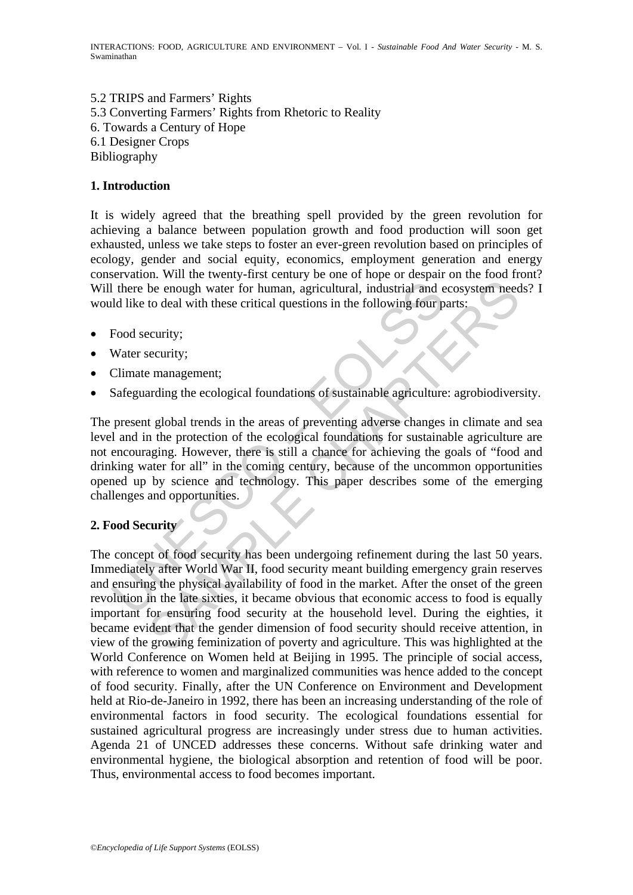5.2 TRIPS and Farmers' Rights 5.3 Converting Farmers' Rights from Rhetoric to Reality 6. Towards a Century of Hope 6.1 Designer Crops Bibliography

### **1. Introduction**

It is widely agreed that the breathing spell provided by the green revolution for achieving a balance between population growth and food production will soon get exhausted, unless we take steps to foster an ever-green revolution based on principles of ecology, gender and social equity, economics, employment generation and energy conservation. Will the twenty-first century be one of hope or despair on the food front? Will there be enough water for human, agricultural, industrial and ecosystem needs? I would like to deal with these critical questions in the following four parts:

- Food security;
- Water security;
- Climate management;
- Safeguarding the ecological foundations of sustainable agriculture: agrobiodiversity.

I there be enough water for human, agricultural, industrial and<br>
did like to deal with these critical questions in the following four p<br>
Food security;<br>
Water security;<br>
Water security;<br>
Water security;<br>
Unimate management The present global trends in the areas of preventing adverse changes in climate and sea level and in the protection of the ecological foundations for sustainable agriculture are not encouraging. However, there is still a chance for achieving the goals of "food and drinking water for all" in the coming century, because of the uncommon opportunities opened up by science and technology. This paper describes some of the emerging challenges and opportunities.

#### **2. Food Security**

be enough water for human, agricultural, industrial and ecosystem need<br>to deal with these critical questions in the following four parts:<br>curity;<br>ecurity;<br>exertivity;<br>exertivity;<br>exertivity;<br>exertivity;<br>exertivity;<br>exertiv The concept of food security has been undergoing refinement during the last 50 years. Immediately after World War II, food security meant building emergency grain reserves and ensuring the physical availability of food in the market. After the onset of the green revolution in the late sixties, it became obvious that economic access to food is equally important for ensuring food security at the household level. During the eighties, it became evident that the gender dimension of food security should receive attention, in view of the growing feminization of poverty and agriculture. This was highlighted at the World Conference on Women held at Beijing in 1995. The principle of social access, with reference to women and marginalized communities was hence added to the concept of food security. Finally, after the UN Conference on Environment and Development held at Rio-de-Janeiro in 1992, there has been an increasing understanding of the role of environmental factors in food security. The ecological foundations essential for sustained agricultural progress are increasingly under stress due to human activities. Agenda 21 of UNCED addresses these concerns. Without safe drinking water and environmental hygiene, the biological absorption and retention of food will be poor. Thus, environmental access to food becomes important.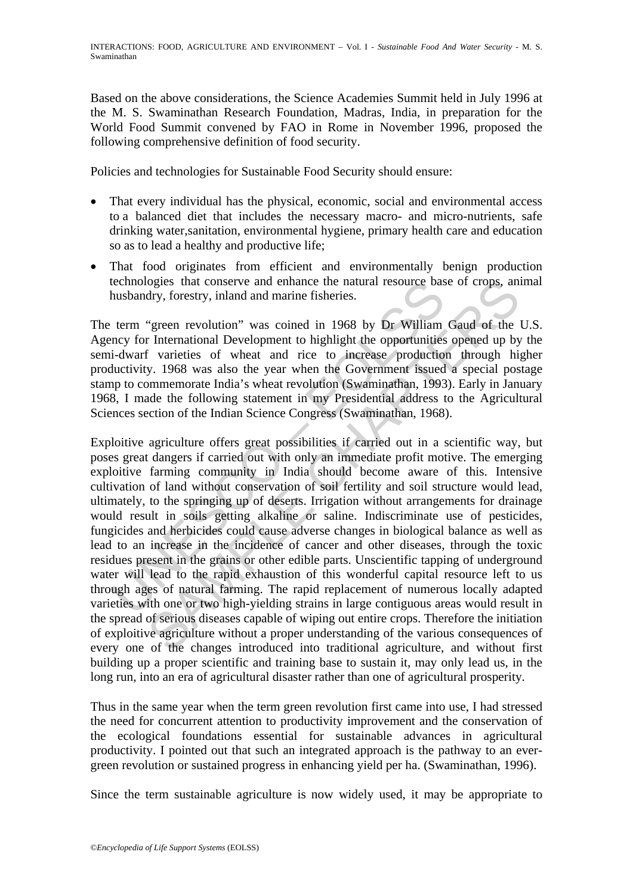Based on the above considerations, the Science Academies Summit held in July 1996 at the M. S. Swaminathan Research Foundation, Madras, India, in preparation for the World Food Summit convened by FAO in Rome in November 1996, proposed the following comprehensive definition of food security.

Policies and technologies for Sustainable Food Security should ensure:

- That every individual has the physical, economic, social and environmental access to a balanced diet that includes the necessary macro- and micro-nutrients, safe drinking water,sanitation, environmental hygiene, primary health care and education so as to lead a healthy and productive life;
- That food originates from efficient and environmentally benign production technologies that conserve and enhance the natural resource base of crops, animal husbandry, forestry, inland and marine fisheries.

The term "green revolution" was coined in 1968 by Dr William Gaud of the U.S. Agency for International Development to highlight the opportunities opened up by the semi-dwarf varieties of wheat and rice to increase production through higher productivity. 1968 was also the year when the Government issued a special postage stamp to commemorate India's wheat revolution (Swaminathan, 1993). Early in January 1968, I made the following statement in my Presidential address to the Agricultural Sciences section of the Indian Science Congress (Swaminathan, 1968).

echnologies that conserve and enhance the natural resource bases<br>thusbandry, forestry, inland and marine fisheries.<br>
term "green revolution" was coined in 1968 by Dr William<br>
mcy for International Development to highlight ogies that conserve and enhance the natural resource base of crops, andry, forestry, inland and marine fisheries.<br>
"green revolution" was coined in 1968 by Dr William Gaud of the Thermational Development to highlight the o Exploitive agriculture offers great possibilities if carried out in a scientific way, but poses great dangers if carried out with only an immediate profit motive. The emerging exploitive farming community in India should become aware of this. Intensive cultivation of land without conservation of soil fertility and soil structure would lead, ultimately, to the springing up of deserts. Irrigation without arrangements for drainage would result in soils getting alkaline or saline. Indiscriminate use of pesticides, fungicides and herbicides could cause adverse changes in biological balance as well as lead to an increase in the incidence of cancer and other diseases, through the toxic residues present in the grains or other edible parts. Unscientific tapping of underground water will lead to the rapid exhaustion of this wonderful capital resource left to us through ages of natural farming. The rapid replacement of numerous locally adapted varieties with one or two high-yielding strains in large contiguous areas would result in the spread of serious diseases capable of wiping out entire crops. Therefore the initiation of exploitive agriculture without a proper understanding of the various consequences of every one of the changes introduced into traditional agriculture, and without first building up a proper scientific and training base to sustain it, may only lead us, in the long run, into an era of agricultural disaster rather than one of agricultural prosperity.

Thus in the same year when the term green revolution first came into use, I had stressed the need for concurrent attention to productivity improvement and the conservation of the ecological foundations essential for sustainable advances in agricultural productivity. I pointed out that such an integrated approach is the pathway to an evergreen revolution or sustained progress in enhancing yield per ha. (Swaminathan, 1996).

Since the term sustainable agriculture is now widely used, it may be appropriate to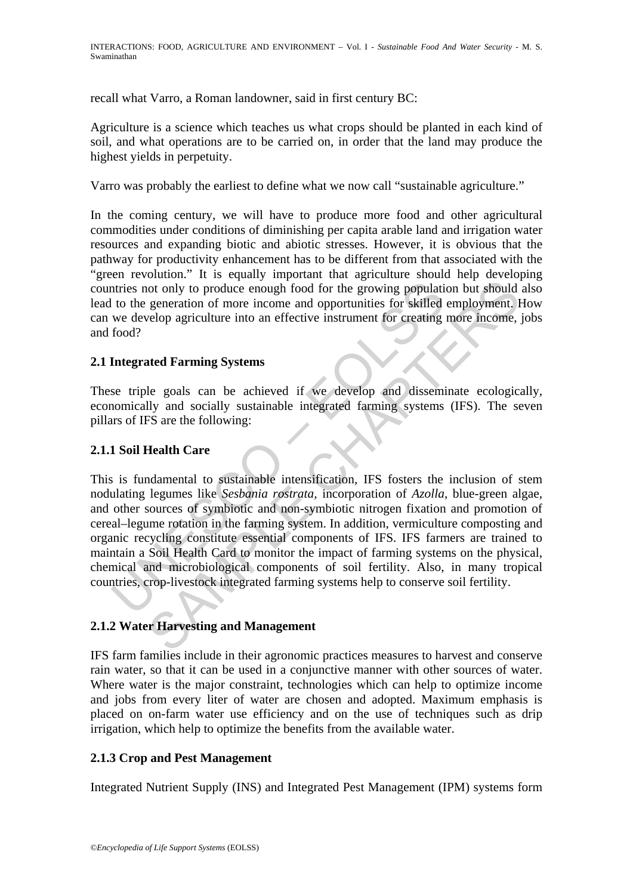recall what Varro, a Roman landowner, said in first century BC:

Agriculture is a science which teaches us what crops should be planted in each kind of soil, and what operations are to be carried on, in order that the land may produce the highest yields in perpetuity.

Varro was probably the earliest to define what we now call "sustainable agriculture."

In the coming century, we will have to produce more food and other agricultural commodities under conditions of diminishing per capita arable land and irrigation water resources and expanding biotic and abiotic stresses. However, it is obvious that the pathway for productivity enhancement has to be different from that associated with the "green revolution." It is equally important that agriculture should help developing countries not only to produce enough food for the growing population but should also lead to the generation of more income and opportunities for skilled employment. How can we develop agriculture into an effective instrument for creating more income, jobs and food?

### **2.1 Integrated Farming Systems**

These triple goals can be achieved if we develop and disseminate ecologically, economically and socially sustainable integrated farming systems (IFS). The seven pillars of IFS are the following:

### **2.1.1 Soil Health Care**

ntries not only to produce enough food for the growing populati<br>
to the generation of more income and opportunities for skilled<br>
we develop agriculture into an effective instrument for creating<br>
food?<br> **Integrated Farming** SAMPLE CHAPTERS This is fundamental to sustainable intensification, IFS fosters the inclusion of stem nodulating legumes like *Sesbania rostrata,* incorporation of *Azolla*, blue-green algae, and other sources of symbiotic and non-symbiotic nitrogen fixation and promotion of cereal–legume rotation in the farming system. In addition, vermiculture composting and organic recycling constitute essential components of IFS. IFS farmers are trained to maintain a Soil Health Card to monitor the impact of farming systems on the physical, chemical and microbiological components of soil fertility. Also, in many tropical countries, crop-livestock integrated farming systems help to conserve soil fertility.

### **2.1.2 Water Harvesting and Management**

IFS farm families include in their agronomic practices measures to harvest and conserve rain water, so that it can be used in a conjunctive manner with other sources of water. Where water is the major constraint, technologies which can help to optimize income and jobs from every liter of water are chosen and adopted. Maximum emphasis is placed on on-farm water use efficiency and on the use of techniques such as drip irrigation, which help to optimize the benefits from the available water.

### **2.1.3 Crop and Pest Management**

Integrated Nutrient Supply (INS) and Integrated Pest Management (IPM) systems form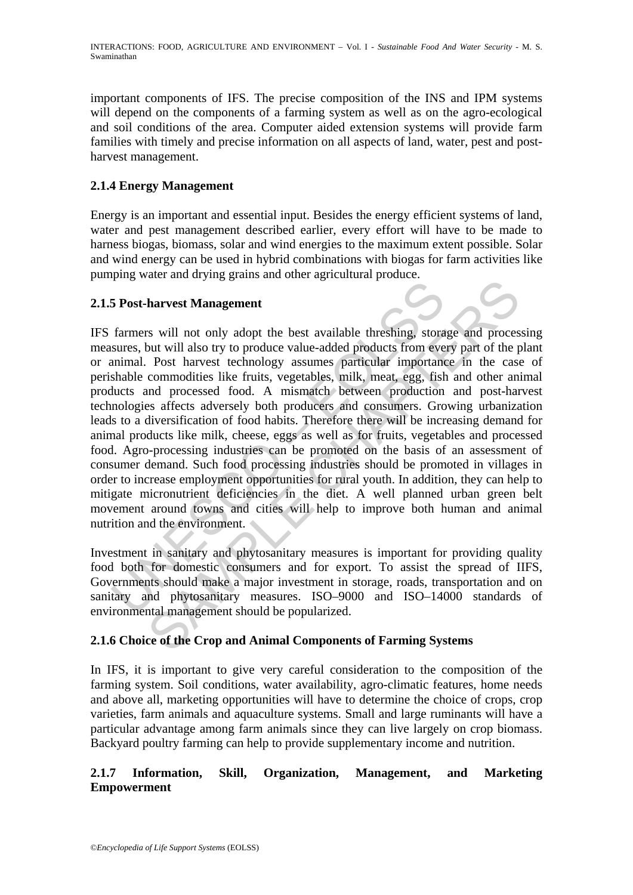important components of IFS. The precise composition of the INS and IPM systems will depend on the components of a farming system as well as on the agro-ecological and soil conditions of the area. Computer aided extension systems will provide farm families with timely and precise information on all aspects of land, water, pest and postharvest management.

## **2.1.4 Energy Management**

Energy is an important and essential input. Besides the energy efficient systems of land, water and pest management described earlier, every effort will have to be made to harness biogas, biomass, solar and wind energies to the maximum extent possible. Solar and wind energy can be used in hybrid combinations with biogas for farm activities like pumping water and drying grains and other agricultural produce.

#### **2.1.5 Post-harvest Management**

**5 Post-harvest Management**<br> **5 Post-harvest Management**<br> **farmers** will not only adopt the best available threshing, stora<br>
susures, but will also try to produce value-added products from eve<br>
sunimal. Post harvest techno and any of solution and difference of the CHA and any server and process will not only adopt the best available threshing, storage and process but will also try to produce value-added products from every part of the Post h IFS farmers will not only adopt the best available threshing, storage and processing measures, but will also try to produce value-added products from every part of the plant or animal. Post harvest technology assumes particular importance in the case of perishable commodities like fruits, vegetables, milk, meat, egg, fish and other animal products and processed food. A mismatch between production and post-harvest technologies affects adversely both producers and consumers. Growing urbanization leads to a diversification of food habits. Therefore there will be increasing demand for animal products like milk, cheese, eggs as well as for fruits, vegetables and processed food. Agro-processing industries can be promoted on the basis of an assessment of consumer demand. Such food processing industries should be promoted in villages in order to increase employment opportunities for rural youth. In addition, they can help to mitigate micronutrient deficiencies in the diet. A well planned urban green belt movement around towns and cities will help to improve both human and animal nutrition and the environment.

Investment in sanitary and phytosanitary measures is important for providing quality food both for domestic consumers and for export. To assist the spread of IIFS, Governments should make a major investment in storage, roads, transportation and on sanitary and phytosanitary measures. ISO–9000 and ISO–14000 standards of environmental management should be popularized.

### **2.1.6 Choice of the Crop and Animal Components of Farming Systems**

In IFS, it is important to give very careful consideration to the composition of the farming system. Soil conditions, water availability, agro-climatic features, home needs and above all, marketing opportunities will have to determine the choice of crops, crop varieties, farm animals and aquaculture systems. Small and large ruminants will have a particular advantage among farm animals since they can live largely on crop biomass. Backyard poultry farming can help to provide supplementary income and nutrition.

### **2.1.7 Information, Skill, Organization, Management, and Marketing Empowerment**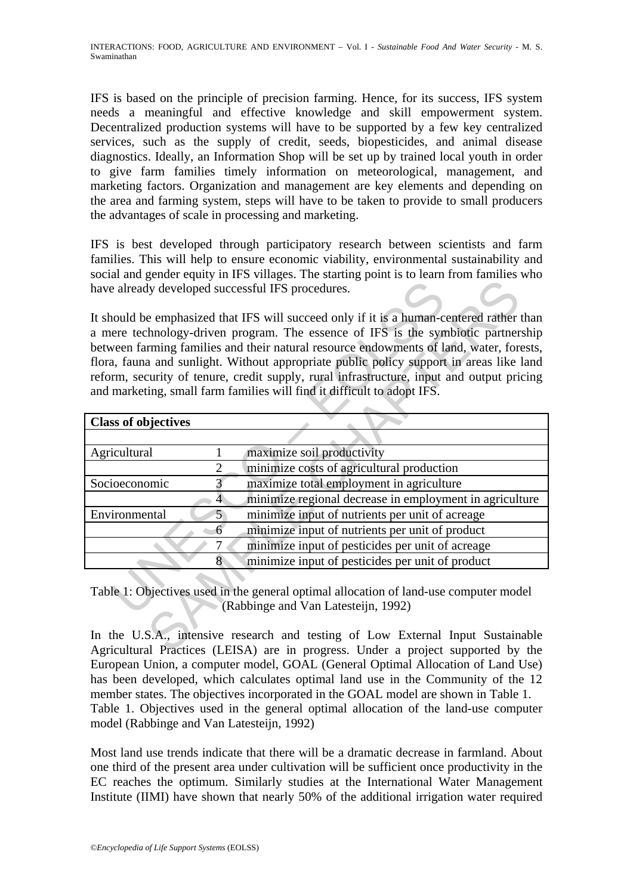IFS is based on the principle of precision farming. Hence, for its success, IFS system needs a meaningful and effective knowledge and skill empowerment system. Decentralized production systems will have to be supported by a few key centralized services, such as the supply of credit, seeds, biopesticides, and animal disease diagnostics. Ideally, an Information Shop will be set up by trained local youth in order to give farm families timely information on meteorological, management, and marketing factors. Organization and management are key elements and depending on the area and farming system, steps will have to be taken to provide to small producers the advantages of scale in processing and marketing.

IFS is best developed through participatory research between scientists and farm families. This will help to ensure economic viability, environmental sustainability and social and gender equity in IFS villages. The starting point is to learn from families who have already developed successful IFS procedures.

| have already developed successful IFS procedures.                                                                                                                                                                                                                                                                                                                                                                                                                                                                                           |                                                                           |
|---------------------------------------------------------------------------------------------------------------------------------------------------------------------------------------------------------------------------------------------------------------------------------------------------------------------------------------------------------------------------------------------------------------------------------------------------------------------------------------------------------------------------------------------|---------------------------------------------------------------------------|
| It should be emphasized that IFS will succeed only if it is a human-centered rather than<br>a mere technology-driven program. The essence of IFS is the symbiotic partnership<br>between farming families and their natural resource endowments of land, water, forests,<br>flora, fauna and sunlight. Without appropriate public policy support in areas like land<br>reform, security of tenure, credit supply, rural infrastructure, input and output pricing<br>and marketing, small farm families will find it difficult to adopt IFS. |                                                                           |
| <b>Class of objectives</b>                                                                                                                                                                                                                                                                                                                                                                                                                                                                                                                  |                                                                           |
|                                                                                                                                                                                                                                                                                                                                                                                                                                                                                                                                             |                                                                           |
| Agricultural                                                                                                                                                                                                                                                                                                                                                                                                                                                                                                                                | maximize soil productivity<br>1                                           |
|                                                                                                                                                                                                                                                                                                                                                                                                                                                                                                                                             | $\overline{2}$<br>minimize costs of agricultural production               |
| Socioeconomic                                                                                                                                                                                                                                                                                                                                                                                                                                                                                                                               | 3<br>maximize total employment in agriculture                             |
|                                                                                                                                                                                                                                                                                                                                                                                                                                                                                                                                             | $\overline{4}$<br>minimize regional decrease in employment in agriculture |
| Environmental                                                                                                                                                                                                                                                                                                                                                                                                                                                                                                                               | minimize input of nutrients per unit of acreage<br>5 <sup>5</sup>         |
|                                                                                                                                                                                                                                                                                                                                                                                                                                                                                                                                             | 6<br>minimize input of nutrients per unit of product                      |
|                                                                                                                                                                                                                                                                                                                                                                                                                                                                                                                                             | minimize input of pesticides per unit of acreage<br>7                     |
|                                                                                                                                                                                                                                                                                                                                                                                                                                                                                                                                             | 8<br>minimize input of pesticides per unit of product                     |
| Table 1: Objectives used in the general optimal allocation of land-use computer model<br>(Rabbinge and Van Latesteijn, 1992)<br>In the U.S.A., intensive research and testing of Low External Input Sustainable                                                                                                                                                                                                                                                                                                                             |                                                                           |
| Agricultural Practices (LEISA) are in progress. Under a project supported by the                                                                                                                                                                                                                                                                                                                                                                                                                                                            |                                                                           |

In the U.S.A., intensive research and testing of Low External Input Sustainable Agricultural Practices (LEISA) are in progress. Under a project supported by the European Union, a computer model, GOAL (General Optimal Allocation of Land Use) has been developed, which calculates optimal land use in the Community of the 12 member states. The objectives incorporated in the GOAL model are shown in Table 1. Table 1. Objectives used in the general optimal allocation of the land-use computer model (Rabbinge and Van Latesteijn, 1992)

Most land use trends indicate that there will be a dramatic decrease in farmland. About one third of the present area under cultivation will be sufficient once productivity in the EC reaches the optimum. Similarly studies at the International Water Management Institute (IIMI) have shown that nearly 50% of the additional irrigation water required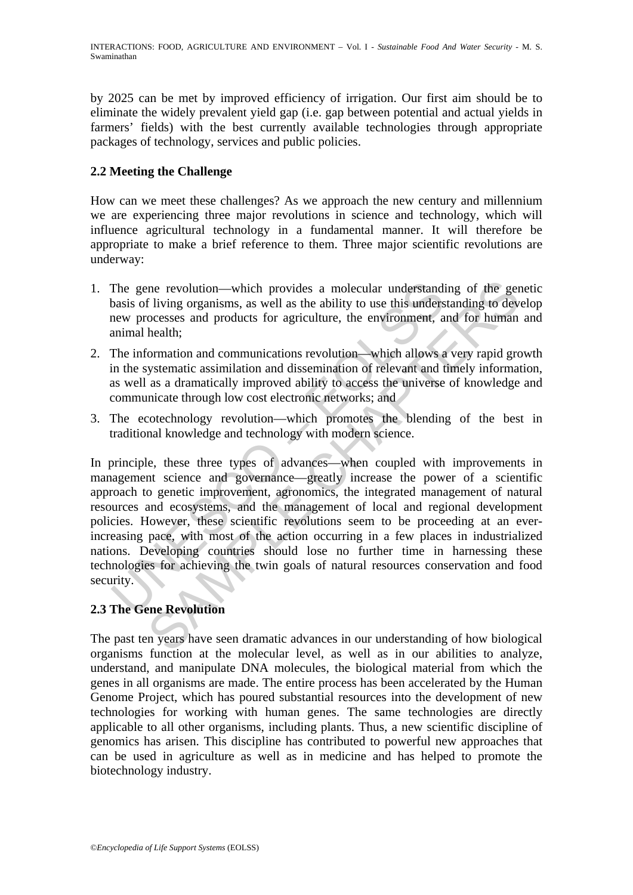by 2025 can be met by improved efficiency of irrigation. Our first aim should be to eliminate the widely prevalent yield gap (i.e. gap between potential and actual yields in farmers' fields) with the best currently available technologies through appropriate packages of technology, services and public policies.

## **2.2 Meeting the Challenge**

How can we meet these challenges? As we approach the new century and millennium we are experiencing three major revolutions in science and technology, which will influence agricultural technology in a fundamental manner. It will therefore be appropriate to make a brief reference to them. Three major scientific revolutions are underway:

- 1. The gene revolution—which provides a molecular understanding of the genetic basis of living organisms, as well as the ability to use this understanding to develop new processes and products for agriculture, the environment, and for human and animal health;
- 2. The information and communications revolution—which allows a very rapid growth in the systematic assimilation and dissemination of relevant and timely information, as well as a dramatically improved ability to access the universe of knowledge and communicate through low cost electronic networks; and
- 3. The ecotechnology revolution—which promotes the blending of the best in traditional knowledge and technology with modern science.

The gene revolution—which provides a molecular understandineolations of living organisms, as well as the ability to use this unders<br>new processes and products for agriculture, the environment, a animal health;<br>The informat me revolution—which provides a molecular understanding of the ger<br>living organisms, as well as the ability to use this understanding to dev<br>ocesses and products for agriculture, the environment, and for human<br>health;<br>forma In principle, these three types of advances—when coupled with improvements in management science and governance—greatly increase the power of a scientific approach to genetic improvement, agronomics, the integrated management of natural resources and ecosystems, and the management of local and regional development policies. However, these scientific revolutions seem to be proceeding at an everincreasing pace, with most of the action occurring in a few places in industrialized nations. Developing countries should lose no further time in harnessing these technologies for achieving the twin goals of natural resources conservation and food security.

## **2.3 The Gene Revolution**

The past ten years have seen dramatic advances in our understanding of how biological organisms function at the molecular level, as well as in our abilities to analyze, understand, and manipulate DNA molecules, the biological material from which the genes in all organisms are made. The entire process has been accelerated by the Human Genome Project, which has poured substantial resources into the development of new technologies for working with human genes. The same technologies are directly applicable to all other organisms, including plants. Thus, a new scientific discipline of genomics has arisen. This discipline has contributed to powerful new approaches that can be used in agriculture as well as in medicine and has helped to promote the biotechnology industry.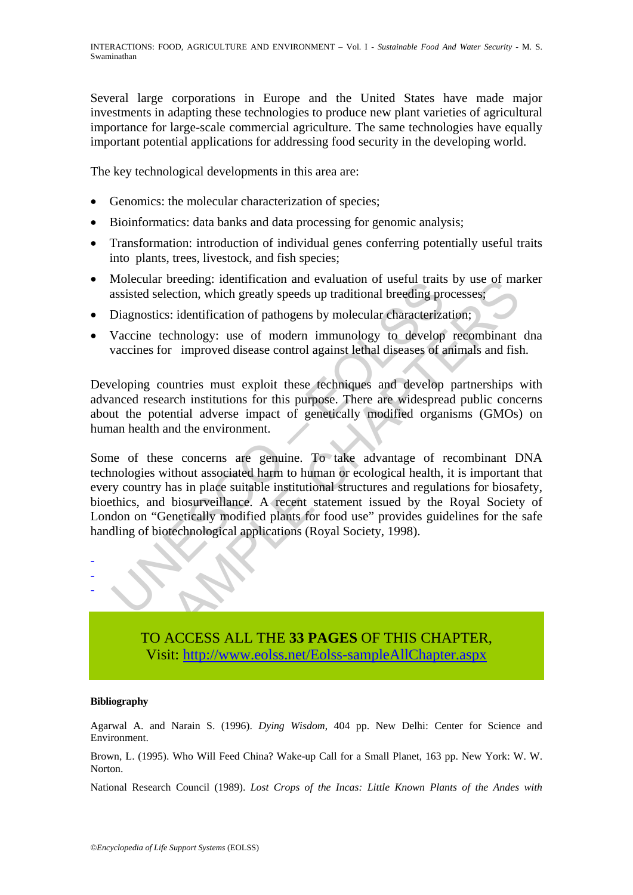Several large corporations in Europe and the United States have made major investments in adapting these technologies to produce new plant varieties of agricultural importance for large-scale commercial agriculture. The same technologies have equally important potential applications for addressing food security in the developing world.

The key technological developments in this area are:

- Genomics: the molecular characterization of species;
- Bioinformatics: data banks and data processing for genomic analysis;
- Transformation: introduction of individual genes conferring potentially useful traits into plants, trees, livestock, and fish species;
- Molecular breeding: identification and evaluation of useful traits by use of marker assisted selection, which greatly speeds up traditional breeding processes;
- Diagnostics: identification of pathogens by molecular characterization;
- Vaccine technology: use of modern immunology to develop recombinant dna vaccines for improved disease control against lethal diseases of animals and fish.

Developing countries must exploit these techniques and develop partnerships with advanced research institutions for this purpose. There are widespread public concerns about the potential adverse impact of genetically modified organisms (GMOs) on human health and the environment.

Molecular breeding, identification and evaluation of useful transassisted selection, which greatly speeds up traditional breeding pro<br>Diagnostics: identification of pathogens by molecular characterize<br>Vaccine technology: u Interioreally inentincation and evaluation and evaluation of useful transity were of manner orecentry.<br>
Selection, which greatly speeds up traditional breeding processes;<br>
stics: identification of pathogens by molecular ch Some of these concerns are genuine. To take advantage of recombinant DNA technologies without associated harm to human or ecological health, it is important that every country has in place suitable institutional structures and regulations for biosafety, bioethics, and biosurveillance. A recent statement issued by the Royal Society of London on "Genetically modified plants for food use" provides guidelines for the safe handling of biotechnological applications (Royal Society, 1998).



TO ACCESS ALL THE **33 PAGES** OF THIS CHAPTER, Visit[: http://www.eolss.net/Eolss-sampleAllChapter.aspx](https://www.eolss.net/ebooklib/sc_cart.aspx?File=E4-24-05)

#### **Bibliography**

-

Agarwal A. and Narain S. (1996). *Dying Wisdom*, 404 pp. New Delhi: Center for Science and Environment.

Brown, L. (1995). Who Will Feed China? Wake-up Call for a Small Planet, 163 pp. New York: W. W. Norton.

National Research Council (1989). *Lost Crops of the Incas: Little Known Plants of the Andes with*